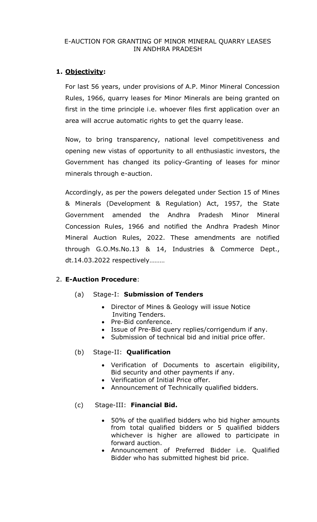### E-AUCTION FOR GRANTING OF MINOR MINERAL QUARRY LEASES IN ANDHRA PRADESH

# **1. Objectivity:**

For last 56 years, under provisions of A.P. Minor Mineral Concession Rules, 1966, quarry leases for Minor Minerals are being granted on first in the time principle i.e. whoever files first application over an area will accrue automatic rights to get the quarry lease.

Now, to bring transparency, national level competitiveness and opening new vistas of opportunity to all enthusiastic investors, the Government has changed its policy-Granting of leases for minor minerals through e-auction.

Accordingly, as per the powers delegated under Section 15 of Mines & Minerals (Development & Regulation) Act, 1957, the State Government amended the Andhra Pradesh Minor Mineral Concession Rules, 1966 and notified the Andhra Pradesh Minor Mineral Auction Rules, 2022. These amendments are notified through G.O.Ms.No.13 & 14, Industries & Commerce Dept., dt.14.03.2022 respectively………

## 2. **E-Auction Procedure**:

## (a) Stage-I: **Submission of Tenders**

- Director of Mines & Geology will issue Notice Inviting Tenders.
- Pre-Bid conference.
- Issue of Pre-Bid query replies/corrigendum if any.
- Submission of technical bid and initial price offer.

## (b) Stage-II: **Qualification**

- Verification of Documents to ascertain eligibility, Bid security and other payments if any.
- Verification of Initial Price offer.
- Announcement of Technically qualified bidders.

## (c) Stage-III: **Financial Bid.**

- 50% of the qualified bidders who bid higher amounts from total qualified bidders or 5 qualified bidders whichever is higher are allowed to participate in forward auction.
- Announcement of Preferred Bidder i.e. Qualified Bidder who has submitted highest bid price.